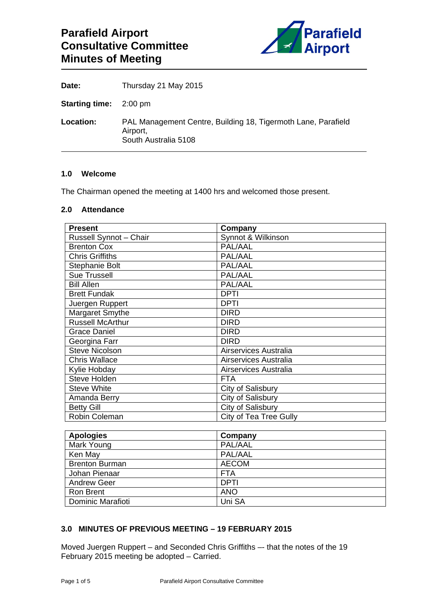

| Date:                         | Thursday 21 May 2015                                                                              |
|-------------------------------|---------------------------------------------------------------------------------------------------|
| <b>Starting time:</b> 2:00 pm |                                                                                                   |
| Location:                     | PAL Management Centre, Building 18, Tigermoth Lane, Parafield<br>Airport,<br>South Australia 5108 |

#### **1.0 Welcome**

The Chairman opened the meeting at 1400 hrs and welcomed those present.

#### **2.0 Attendance**

| Present                       | Company                |
|-------------------------------|------------------------|
| <b>Russell Synnot - Chair</b> | Synnot & Wilkinson     |
| <b>Brenton Cox</b>            | PAL/AAL                |
| <b>Chris Griffiths</b>        | PAL/AAL                |
| Stephanie Bolt                | PAL/AAL                |
| Sue Trussell                  | PAL/AAL                |
| Bill Allen                    | PAL/AAL                |
| <b>Brett Fundak</b>           | <b>DPTI</b>            |
| Juergen Ruppert               | <b>DPTI</b>            |
| Margaret Smythe               | <b>DIRD</b>            |
| <b>Russell McArthur</b>       | <b>DIRD</b>            |
| <b>Grace Daniel</b>           | <b>DIRD</b>            |
| Georgina Farr                 | <b>DIRD</b>            |
| <b>Steve Nicolson</b>         | Airservices Australia  |
| Chris Wallace                 | Airservices Australia  |
| Kylie Hobday                  | Airservices Australia  |
| Steve Holden                  | <b>FTA</b>             |
| <b>Steve White</b>            | City of Salisbury      |
| Amanda Berry                  | City of Salisbury      |
| <b>Betty Gill</b>             | City of Salisbury      |
| Robin Coleman                 | City of Tea Tree Gully |

| <b>Apologies</b>      | Company      |
|-----------------------|--------------|
| Mark Young            | PAL/AAL      |
| Ken May               | PAL/AAL      |
| <b>Brenton Burman</b> | <b>AECOM</b> |
| Johan Pienaar         | <b>FTA</b>   |
| <b>Andrew Geer</b>    | <b>DPTI</b>  |
| Ron Brent             | <b>ANO</b>   |
| Dominic Marafioti     | Uni SA       |

### **3.0 MINUTES OF PREVIOUS MEETING – 19 FEBRUARY 2015**

Moved Juergen Ruppert – and Seconded Chris Griffiths –- that the notes of the 19 February 2015 meeting be adopted – Carried.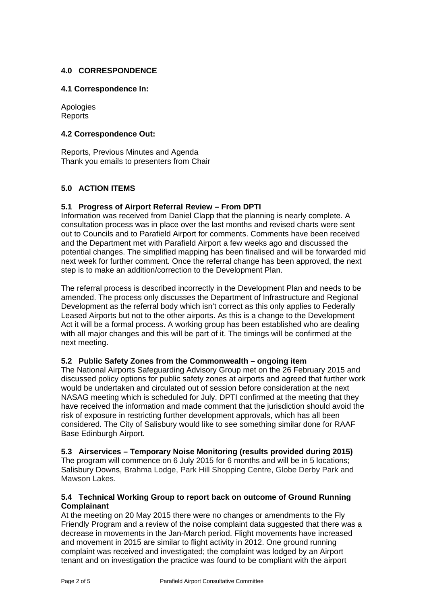# **4.0 CORRESPONDENCE**

#### **4.1 Correspondence In:**

Apologies **Reports** 

### **4.2 Correspondence Out:**

Reports, Previous Minutes and Agenda Thank you emails to presenters from Chair

### **5.0 ACTION ITEMS**

### **5.1 Progress of Airport Referral Review – From DPTI**

Information was received from Daniel Clapp that the planning is nearly complete. A consultation process was in place over the last months and revised charts were sent out to Councils and to Parafield Airport for comments. Comments have been received and the Department met with Parafield Airport a few weeks ago and discussed the potential changes. The simplified mapping has been finalised and will be forwarded mid next week for further comment. Once the referral change has been approved, the next step is to make an addition/correction to the Development Plan.

The referral process is described incorrectly in the Development Plan and needs to be amended. The process only discusses the Department of Infrastructure and Regional Development as the referral body which isn't correct as this only applies to Federally Leased Airports but not to the other airports. As this is a change to the Development Act it will be a formal process. A working group has been established who are dealing with all major changes and this will be part of it. The timings will be confirmed at the next meeting.

### **5.2 Public Safety Zones from the Commonwealth – ongoing item**

The National Airports Safeguarding Advisory Group met on the 26 February 2015 and discussed policy options for public safety zones at airports and agreed that further work would be undertaken and circulated out of session before consideration at the next NASAG meeting which is scheduled for July. DPTI confirmed at the meeting that they have received the information and made comment that the jurisdiction should avoid the risk of exposure in restricting further development approvals, which has all been considered. The City of Salisbury would like to see something similar done for RAAF Base Edinburgh Airport.

### **5.3 Airservices – Temporary Noise Monitoring (results provided during 2015)**

The program will commence on 6 July 2015 for 6 months and will be in 5 locations; Salisbury Downs, Brahma Lodge, Park Hill Shopping Centre, Globe Derby Park and Mawson Lakes.

### **5.4 Technical Working Group to report back on outcome of Ground Running Complainant**

At the meeting on 20 May 2015 there were no changes or amendments to the Fly Friendly Program and a review of the noise complaint data suggested that there was a decrease in movements in the Jan-March period. Flight movements have increased and movement in 2015 are similar to flight activity in 2012. One ground running complaint was received and investigated; the complaint was lodged by an Airport tenant and on investigation the practice was found to be compliant with the airport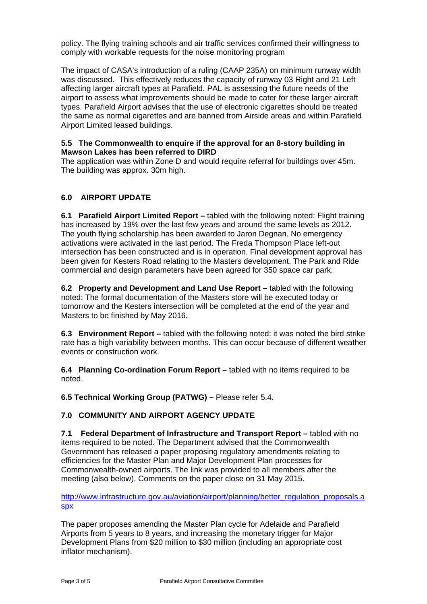policy. The flying training schools and air traffic services confirmed their willingness to comply with workable requests for the noise monitoring program

The impact of CASA's introduction of a ruling (CAAP 235A) on minimum runway width was discussed. This effectively reduces the capacity of runway 03 Right and 21 Left affecting larger aircraft types at Parafield. PAL is assessing the future needs of the airport to assess what improvements should be made to cater for these larger aircraft types. Parafield Airport advises that the use of electronic cigarettes should be treated the same as normal cigarettes and are banned from Airside areas and within Parafield Airport Limited leased buildings.

### **5.5 The Commonwealth to enquire if the approval for an 8-story building in Mawson Lakes has been referred to DIRD**

The application was within Zone D and would require referral for buildings over 45m. The building was approx. 30m high.

# **6.0 AIRPORT UPDATE**

**6.1 Parafield Airport Limited Report –** tabled with the following noted: Flight training has increased by 19% over the last few years and around the same levels as 2012. The youth flying scholarship has been awarded to Jaron Degnan. No emergency activations were activated in the last period. The Freda Thompson Place left-out intersection has been constructed and is in operation. Final development approval has been given for Kesters Road relating to the Masters development. The Park and Ride commercial and design parameters have been agreed for 350 space car park.

**6.2 Property and Development and Land Use Report –** tabled with the following noted: The formal documentation of the Masters store will be executed today or tomorrow and the Kesters intersection will be completed at the end of the year and Masters to be finished by May 2016.

**6.3 Environment Report –** tabled with the following noted: it was noted the bird strike rate has a high variability between months. This can occur because of different weather events or construction work.

**6.4 Planning Co-ordination Forum Report –** tabled with no items required to be noted.

**6.5 Technical Working Group (PATWG) –** Please refer 5.4.

### **7.0 COMMUNITY AND AIRPORT AGENCY UPDATE**

**7.1 Federal Department of Infrastructure and Transport Report –** tabled with no items required to be noted. The Department advised that the Commonwealth Government has released a paper proposing regulatory amendments relating to efficiencies for the Master Plan and Major Development Plan processes for Commonwealth-owned airports. The link was provided to all members after the meeting (also below). Comments on the paper close on 31 May 2015.

http://www.infrastructure.gov.au/aviation/airport/planning/better\_regulation\_proposals.a spx

The paper proposes amending the Master Plan cycle for Adelaide and Parafield Airports from 5 years to 8 years, and increasing the monetary trigger for Major Development Plans from \$20 million to \$30 million (including an appropriate cost inflator mechanism).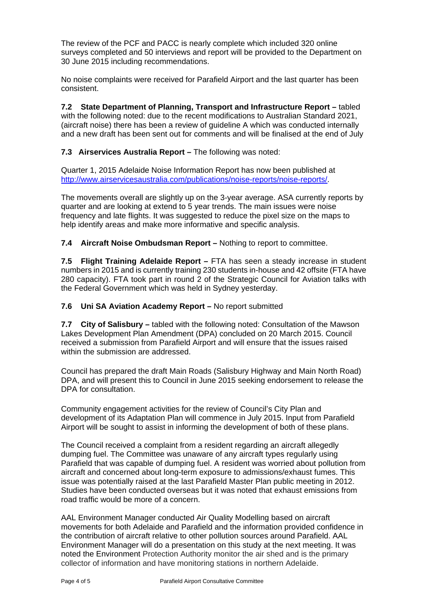The review of the PCF and PACC is nearly complete which included 320 online surveys completed and 50 interviews and report will be provided to the Department on 30 June 2015 including recommendations.

No noise complaints were received for Parafield Airport and the last quarter has been consistent.

**7.2 State Department of Planning, Transport and Infrastructure Report –** tabled with the following noted: due to the recent modifications to Australian Standard 2021, (aircraft noise) there has been a review of guideline A which was conducted internally and a new draft has been sent out for comments and will be finalised at the end of July

**7.3 Airservices Australia Report –** The following was noted:

Quarter 1, 2015 Adelaide Noise Information Report has now been published at http://www.airservicesaustralia.com/publications/noise-reports/noise-reports/

The movements overall are slightly up on the 3-year average. ASA currently reports by quarter and are looking at extend to 5 year trends. The main issues were noise frequency and late flights. It was suggested to reduce the pixel size on the maps to help identify areas and make more informative and specific analysis.

**7.4 Aircraft Noise Ombudsman Report –** Nothing to report to committee.

**7.5 Flight Training Adelaide Report –** FTA has seen a steady increase in student numbers in 2015 and is currently training 230 students in-house and 42 offsite (FTA have 280 capacity). FTA took part in round 2 of the Strategic Council for Aviation talks with the Federal Government which was held in Sydney yesterday.

**7.6 Uni SA Aviation Academy Report –** No report submitted

**7.7 City of Salisbury –** tabled with the following noted: Consultation of the Mawson Lakes Development Plan Amendment (DPA) concluded on 20 March 2015. Council received a submission from Parafield Airport and will ensure that the issues raised within the submission are addressed.

Council has prepared the draft Main Roads (Salisbury Highway and Main North Road) DPA, and will present this to Council in June 2015 seeking endorsement to release the DPA for consultation.

Community engagement activities for the review of Council's City Plan and development of its Adaptation Plan will commence in July 2015. Input from Parafield Airport will be sought to assist in informing the development of both of these plans.

The Council received a complaint from a resident regarding an aircraft allegedly dumping fuel. The Committee was unaware of any aircraft types regularly using Parafield that was capable of dumping fuel. A resident was worried about pollution from aircraft and concerned about long-term exposure to admissions/exhaust fumes. This issue was potentially raised at the last Parafield Master Plan public meeting in 2012. Studies have been conducted overseas but it was noted that exhaust emissions from road traffic would be more of a concern.

AAL Environment Manager conducted Air Quality Modelling based on aircraft movements for both Adelaide and Parafield and the information provided confidence in the contribution of aircraft relative to other pollution sources around Parafield. AAL Environment Manager will do a presentation on this study at the next meeting. It was noted the Environment Protection Authority monitor the air shed and is the primary collector of information and have monitoring stations in northern Adelaide.